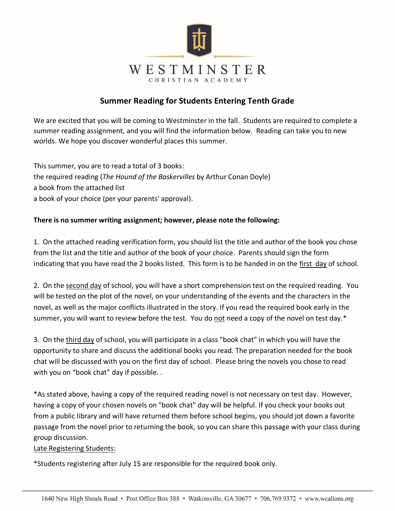

# **Summer Reading for Students Entering Tenth Grade**

We are excited that you will be coming to Westminster in the fall. Students are required to complete a summer reading assignment, and you will find the information below. Reading can take you to new worlds. We hope you discover wonderful places this summer.

This summer, you are to read a total of 3 books: the required reading (*The Hound of the Baskervilles* by Arthur Conan Doyle) a book from the attached list a book of your choice (per your parents' approval).

### **There is no summer writing assignment; however, please note the following:**

1. On the attached reading verification form, you should list the title and author of the book you chose from the list and the title and author of the book of your choice. Parents should sign the form indicating that you have read the 2 books listed. This form is to be handed in on the first day of school.

2. On the second day of school, you will have a short comprehension test on the required reading. You will be tested on the plot of the novel, on your understanding of the events and the characters in the novel, as well as the major conflicts illustrated in the story. If you read the required book early in the summer, you will want to review before the test. You do not need a copy of the novel on test day.\*

3. On the third day of school, you will participate in a class "book chat" in which you will have the opportunity to share and discuss the additional books you read. The preparation needed for the book chat will be discussed with you on the first day of school. Please bring the novels you chose to read with you on "book chat" day if possible. .

\*As stated above, having a copy of the required reading novel is not necessary on test day. However, having a copy of your chosen novels on "book chat" day will be helpful. If you check your books out from a public library and will have returned them before school begins, you should jot down a favorite passage from the novel prior to returning the book, so you can share this passage with your class during group discussion.

### Late Registering Students:

\*Students registering after July 15 are responsible for the required book only.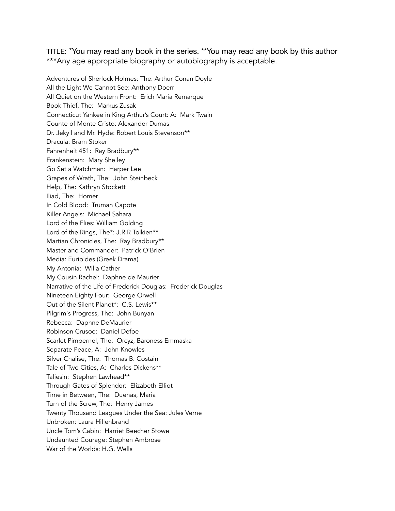TITLE: \*You may read any book in the series. \*\*You may read any book by this author \*\*\*Any age appropriate biography or autobiography is acceptable.

Adventures of Sherlock Holmes: The: Arthur Conan Doyle All the Light We Cannot See: Anthony Doerr All Quiet on the Western Front: Erich Maria Remarque Book Thief, The: Markus Zusak Connecticut Yankee in King Arthur's Court: A: Mark Twain Counte of Monte Cristo: Alexander Dumas Dr. Jekyll and Mr. Hyde: Robert Louis Stevenson\*\* Dracula: Bram Stoker Fahrenheit 451: Ray Bradbury\*\* Frankenstein: Mary Shelley Go Set a Watchman: Harper Lee Grapes of Wrath, The: John Steinbeck Help, The: Kathryn Stockett Iliad, The: Homer In Cold Blood: Truman Capote Killer Angels: Michael Sahara Lord of the Flies: William Golding Lord of the Rings, The\*: J.R.R Tolkien\*\* Martian Chronicles, The: Ray Bradbury\*\* Master and Commander: Patrick O'Brien Media: Euripides (Greek Drama) My Antonia: Willa Cather My Cousin Rachel: Daphne de Maurier Narrative of the Life of Frederick Douglas: Frederick Douglas Nineteen Eighty Four: George Orwell Out of the Silent Planet\*: C.S. Lewis\*\* Pilgrim's Progress, The: John Bunyan Rebecca: Daphne DeMaurier Robinson Crusoe: Daniel Defoe Scarlet Pimpernel, The: Orcyz, Baroness Emmaska Separate Peace, A: John Knowles Silver Chalise, The: Thomas B. Costain Tale of Two Cities, A: Charles Dickens\*\* Taliesin: Stephen Lawhead\*\* Through Gates of Splendor: Elizabeth Elliot Time in Between, The: Duenas, Maria Turn of the Screw, The: Henry James Twenty Thousand Leagues Under the Sea: Jules Verne Unbroken: Laura Hillenbrand Uncle Tom's Cabin: Harriet Beecher Stowe Undaunted Courage: Stephen Ambrose War of the Worlds: H.G. Wells